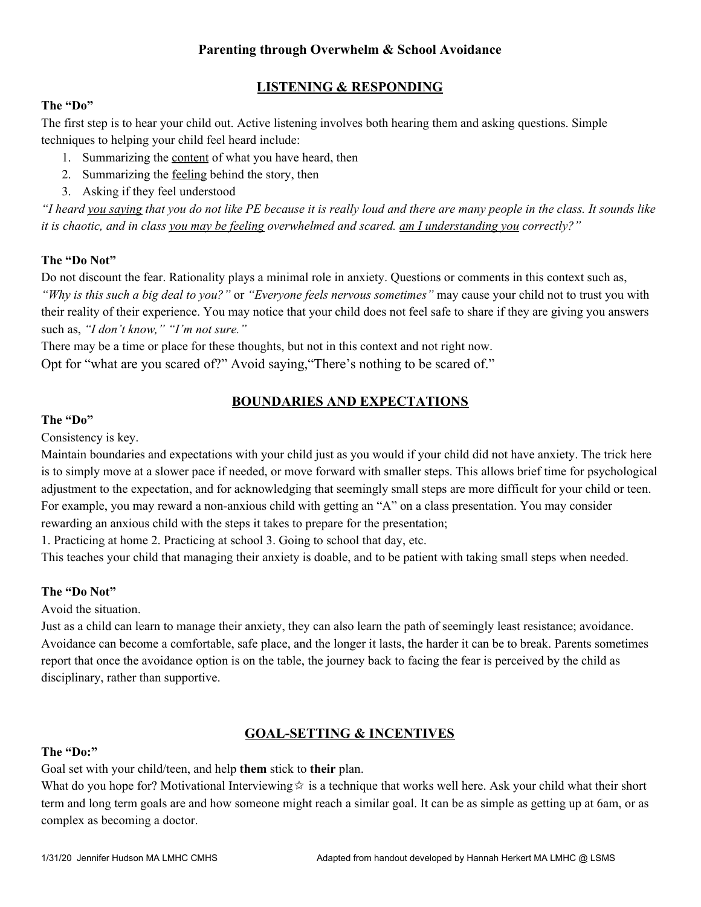## **LISTENING & RESPONDING**

#### **The "Do"**

 The first step is to hear your child out. Active listening involves both hearing them and asking questions. Simple techniques to helping your child feel heard include:

- 1. Summarizing the **content** of what you have heard, then
- 2. Summarizing the **feeling** behind the story, then
- 3. Asking if they feel understood

"I heard you saying that you do not like PE because it is really loud and there are many people in the class. It sounds like it is chaotic, and in class you may be feeling overwhelmed and scared. <u>am I understanding you</u> correctly?"

#### **The "Do Not"**

 Do not discount the fear. Rationality plays a minimal role in anxiety. Questions or comments in this context such as,  *"Why is this such a big deal to you?"* or *"Everyone feels nervous sometimes"* may cause your child not to trust you with their reality of their experience. You may notice that your child does not feel safe to share if they are giving you answers such as, *"I don't know," "I'm not sure."*

There may be a time or place for these thoughts, but not in this context and not right now.

Opt for "what are you scared of?" Avoid saying,"There's nothing to be scared of."

## **BOUNDARIES AND EXPECTATIONS**

#### **The "Do"**

Consistency is key.

 Maintain boundaries and expectations with your child just as you would if your child did not have anxiety. The trick here is to simply move at a slower pace if needed, or move forward with smaller steps. This allows brief time for psychological adjustment to the expectation, and for acknowledging that seemingly small steps are more difficult for your child or teen. For example, you may reward a non-anxious child with getting an "A" on a class presentation. You may consider rewarding an anxious child with the steps it takes to prepare for the presentation;

1. Practicing at home 2. Practicing at school 3. Going to school that day, etc.

This teaches your child that managing their anxiety is doable, and to be patient with taking small steps when needed.

#### **The "Do Not"**

Avoid the situation.

 Just as a child can learn to manage their anxiety, they can also learn the path of seemingly least resistance; avoidance. Avoidance can become a comfortable, safe place, and the longer it lasts, the harder it can be to break. Parents sometimes report that once the avoidance option is on the table, the journey back to facing the fear is perceived by the child as disciplinary, rather than supportive.

## **GOAL-SETTING & INCENTIVES**

#### **The "Do:"**

Goal set with your child/teen, and help **them** stick to **their** plan.

What do you hope for? Motivational Interviewing  $\hat{x}$  is a technique that works well here. Ask your child what their short term and long term goals are and how someone might reach a similar goal. It can be as simple as getting up at 6am, or as complex as becoming a doctor.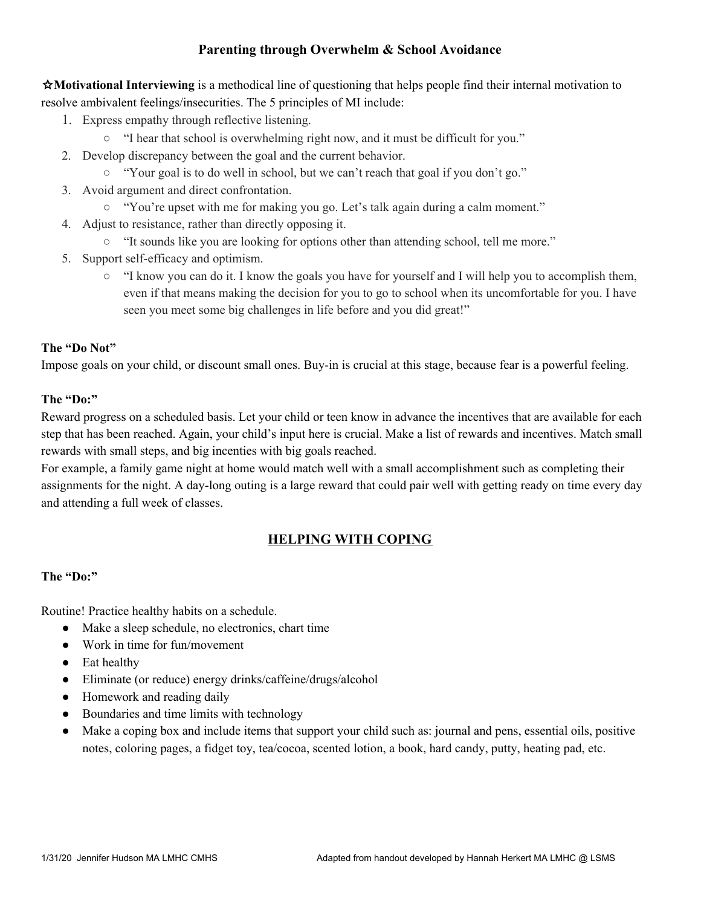✩**Motivational Interviewing** is a methodical line of questioning that helps people find their internal motivation to resolve ambivalent feelings/insecurities. The 5 principles of MI include:

- 1. Express empathy through reflective listening.
	- "I hear that school is overwhelming right now, and it must be difficult for you."
- 2. Develop discrepancy between the goal and the current behavior.
	- "Your goal is to do well in school, but we can't reach that goal if you don't go."
- 3. Avoid argument and direct confrontation.
	- "You're upset with me for making you go. Let's talk again during a calm moment."
- 4. Adjust to resistance, rather than directly opposing it.
	- "It sounds like you are looking for options other than attending school, tell me more."
- 5. Support self-efficacy and optimism.
	- ○ "I know you can do it. I know the goals you have for yourself and I will help you to accomplish them, even if that means making the decision for you to go to school when its uncomfortable for you. I have seen you meet some big challenges in life before and you did great!"

#### **The "Do Not"**

Impose goals on your child, or discount small ones. Buy-in is crucial at this stage, because fear is a powerful feeling.

#### **The "Do:"**

 Reward progress on a scheduled basis. Let your child or teen know in advance the incentives that are available for each step that has been reached. Again, your child's input here is crucial. Make a list of rewards and incentives. Match small rewards with small steps, and big incenties with big goals reached.

 For example, a family game night at home would match well with a small accomplishment such as completing their assignments for the night. A day-long outing is a large reward that could pair well with getting ready on time every day and attending a full week of classes.

# **HELPING WITH COPING**

### **The "Do:"**

Routine! Practice healthy habits on a schedule.

- Make a sleep schedule, no electronics, chart time
- Work in time for fun/movement
- Eat healthy
- Eliminate (or reduce) energy drinks/caffeine/drugs/alcohol
- Homework and reading daily
- Boundaries and time limits with technology
- ● Make a coping box and include items that support your child such as: journal and pens, essential oils, positive notes, coloring pages, a fidget toy, tea/cocoa, scented lotion, a book, hard candy, putty, heating pad, etc.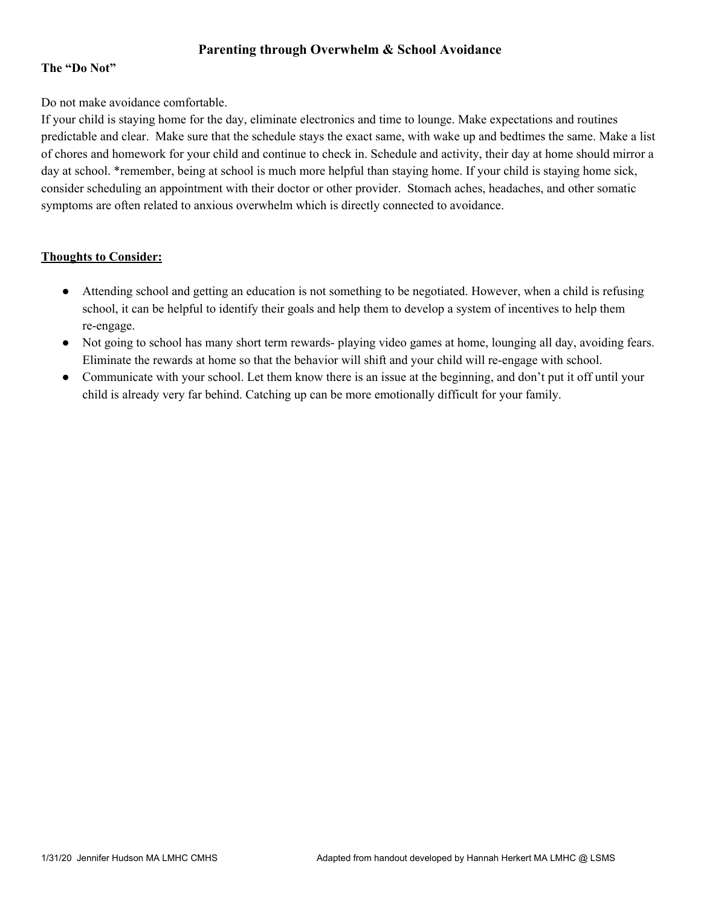#### **The "Do Not"**

Do not make avoidance comfortable.

 If your child is staying home for the day, eliminate electronics and time to lounge. Make expectations and routines predictable and clear. Make sure that the schedule stays the exact same, with wake up and bedtimes the same. Make a list of chores and homework for your child and continue to check in. Schedule and activity, their day at home should mirror a day at school. \*remember, being at school is much more helpful than staying home. If your child is staying home sick, consider scheduling an appointment with their doctor or other provider. Stomach aches, headaches, and other somatic symptoms are often related to anxious overwhelm which is directly connected to avoidance.

#### **Thoughts to Consider:**

- ● Attending school and getting an education is not something to be negotiated. However, when a child is refusing school, it can be helpful to identify their goals and help them to develop a system of incentives to help them re-engage.
- ● Not going to school has many short term rewards- playing video games at home, lounging all day, avoiding fears. Eliminate the rewards at home so that the behavior will shift and your child will re-engage with school.
- Communicate with your school. Let them know there is an issue at the beginning, and don't put it off until your child is already very far behind. Catching up can be more emotionally difficult for your family.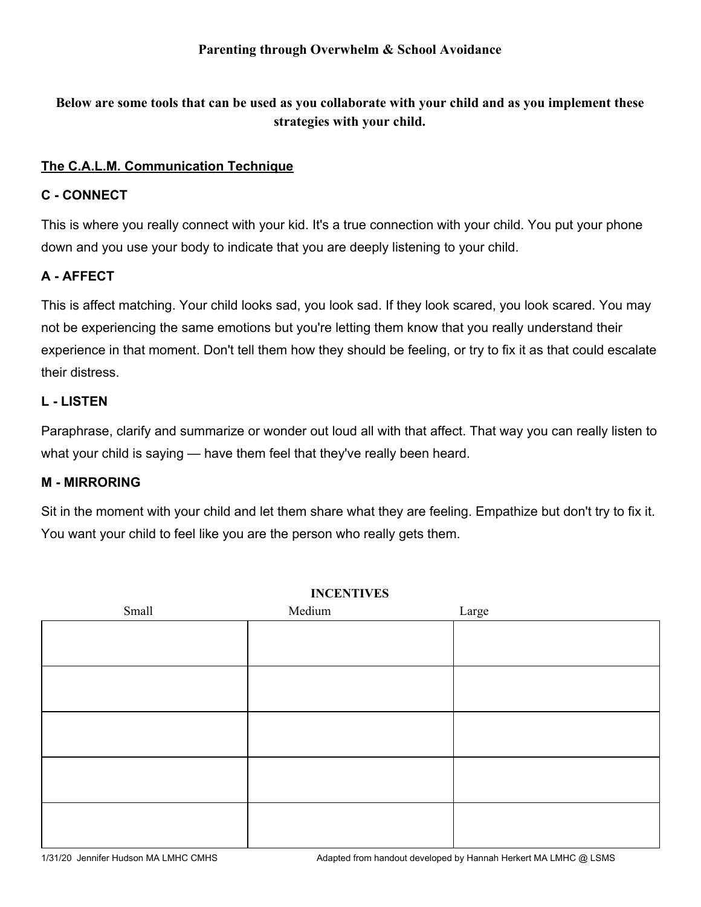**Below are some tools that can be used as you collaborate with your child and as you implement these strategies with your child.**

## **The C.A.L.M. Communication Technique**

## **C - CONNECT**

 This is where you really connect with your kid. It's a true connection with your child. You put your phone down and you use your body to indicate that you are deeply listening to your child.

## **A - AFFECT**

 This is affect matching. Your child looks sad, you look sad. If they look scared, you look scared. You may not be experiencing the same emotions but you're letting them know that you really understand their experience in that moment. Don't tell them how they should be feeling, or try to fix it as that could escalate their distress.

## **L - LISTEN**

 Paraphrase, clarify and summarize or wonder out loud all with that affect. That way you can really listen to what your child is saying — have them feel that they've really been heard.

## **M - MIRRORING**

 Sit in the moment with your child and let them share what they are feeling. Empathize but don't try to fix it. You want your child to feel like you are the person who really gets them.

| INCENTIVES |        |       |  |
|------------|--------|-------|--|
| Small      | Medium | Large |  |
|            |        |       |  |
|            |        |       |  |
|            |        |       |  |
|            |        |       |  |
|            |        |       |  |
|            |        |       |  |
|            |        |       |  |
|            |        |       |  |
|            |        |       |  |
|            |        |       |  |
|            |        |       |  |

# **INCENTIVES**

1/31/20 Jennifer Hudson MA LMHC CMHS

Adapted from handout developed by Hannah Herkert MA LMHC @ LSMS